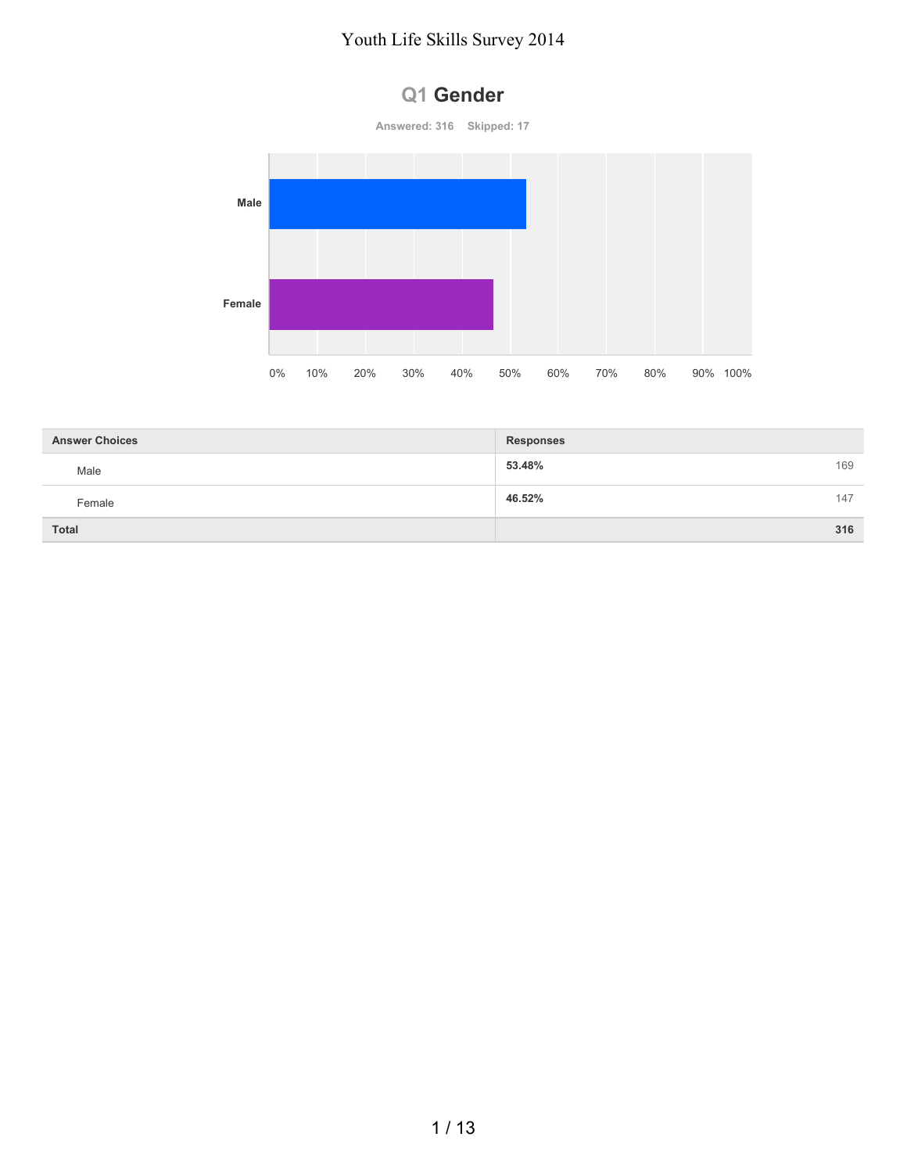

| <b>Answer Choices</b> | <b>Responses</b> |     |
|-----------------------|------------------|-----|
| Male                  | 53.48%           | 169 |
| Female                | 46.52%           | 147 |
| <b>Total</b>          |                  | 316 |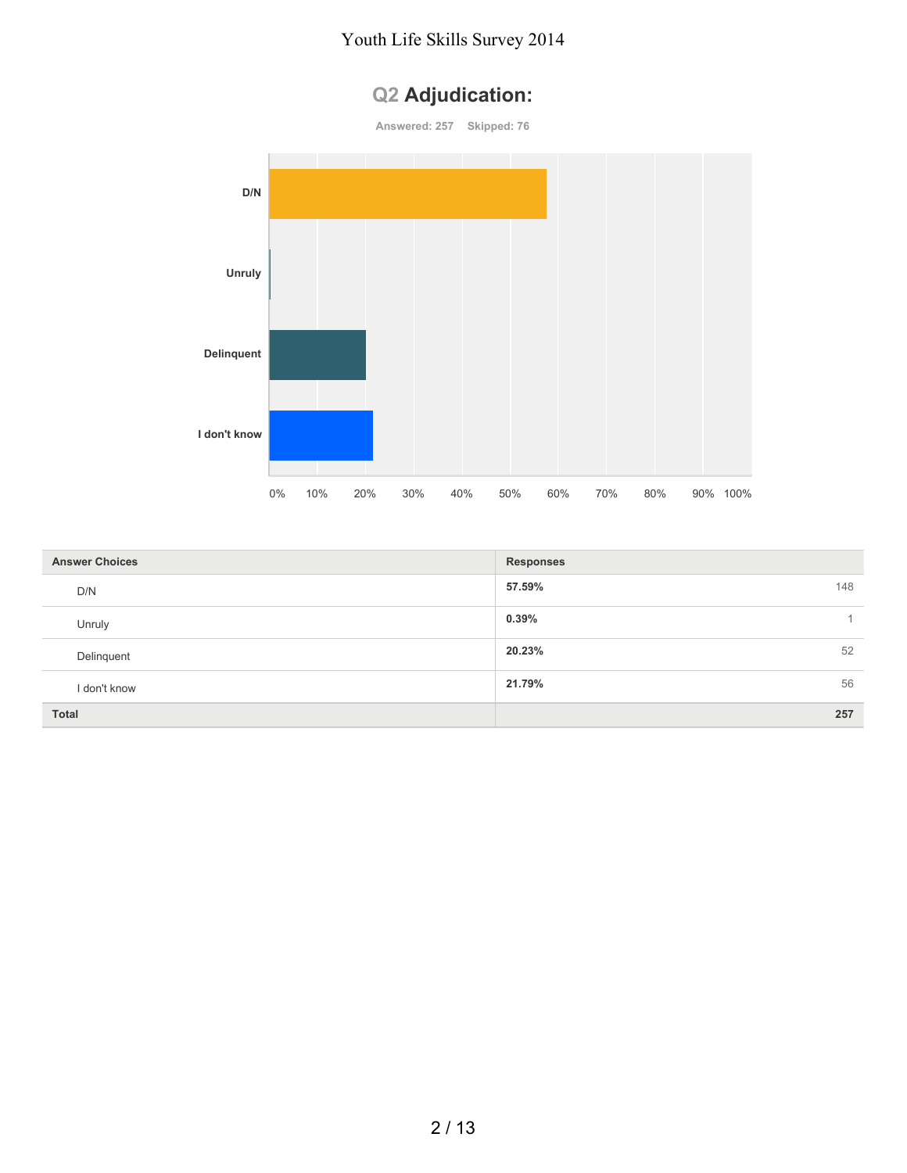# **Q2 Adjudication:**



| <b>Answer Choices</b> | <b>Responses</b> |     |
|-----------------------|------------------|-----|
| D/N                   | 57.59%           | 148 |
| Unruly                | 0.39%            |     |
| Delinquent            | 20.23%           | 52  |
| I don't know          | 21.79%           | 56  |
| <b>Total</b>          |                  | 257 |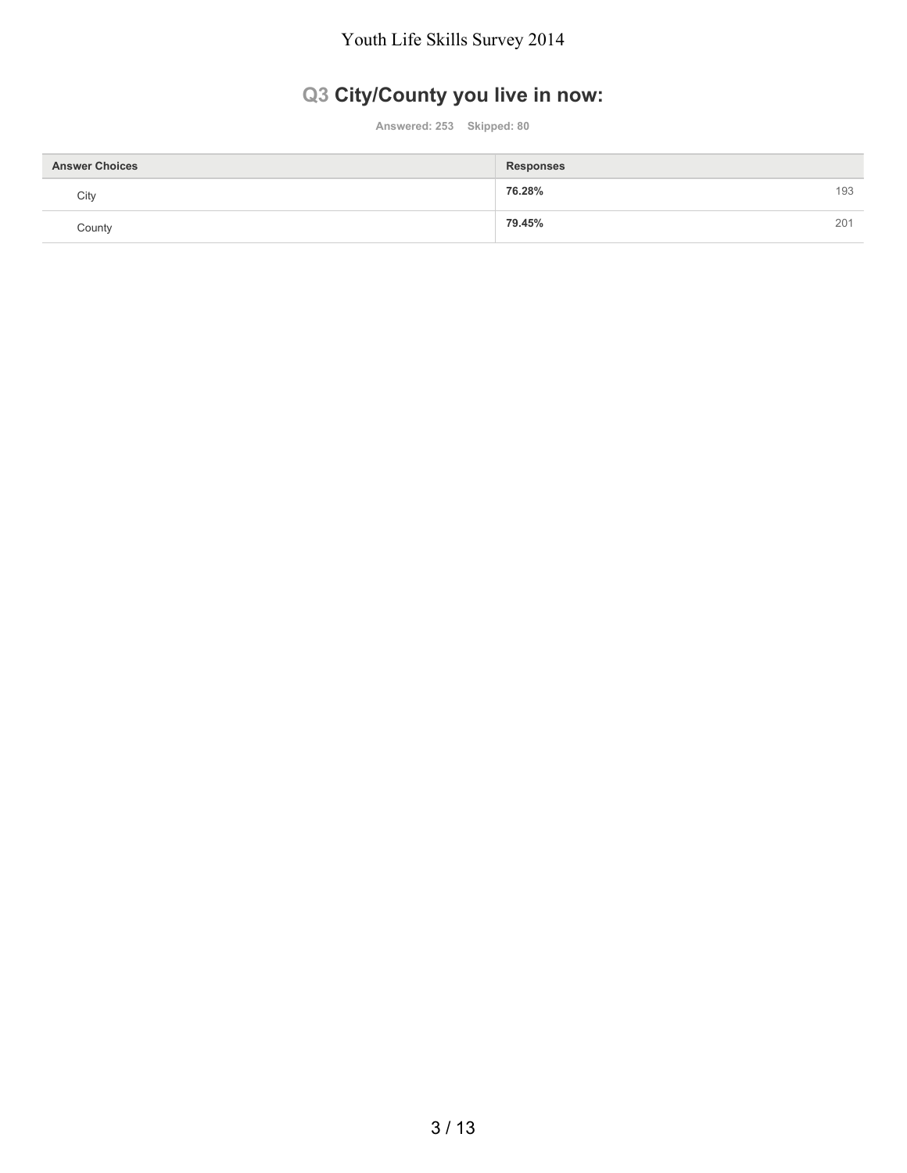## **Q3 City/County you live in now:**

**Answered: 253 Skipped: 80**

| <b>Answer Choices</b> | <b>Responses</b> |
|-----------------------|------------------|
| City                  | 76.28%<br>193    |
| County                | 79.45%<br>201    |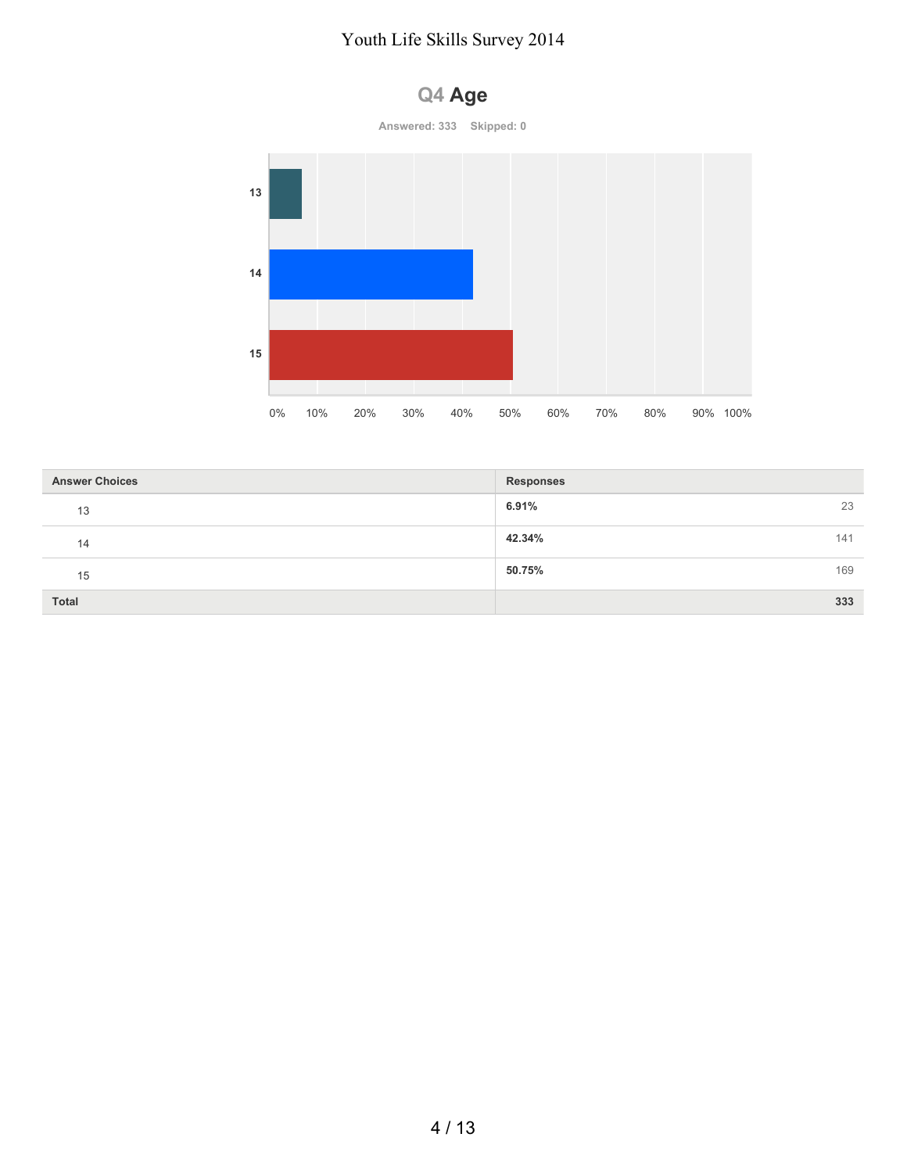

| <b>Answer Choices</b> | Responses     |
|-----------------------|---------------|
| 13                    | 6.91%<br>23   |
| 14                    | 42.34%<br>141 |
| 15                    | 50.75%<br>169 |
| Total                 | 333           |

## **Q4 Age**

4 / 13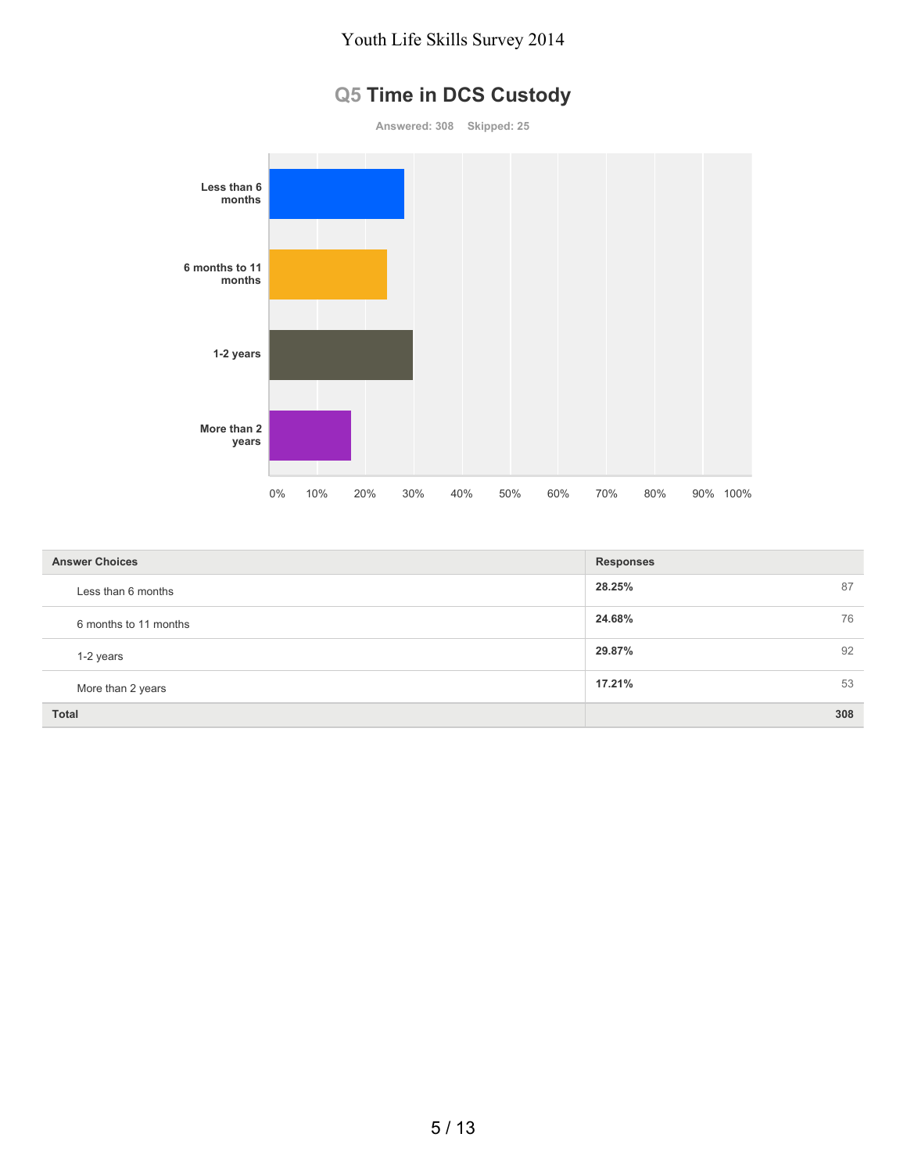## **Q5 Time in DCS Custody**

**Answered: 308 Skipped: 25 Less than 6 months 6 months to 11 months 1-2 years More than 2 years** 0% 10% 20% 30% 40% 50% 60% 70% 80% 90% 100%

| <b>Answer Choices</b> | <b>Responses</b> |
|-----------------------|------------------|
| Less than 6 months    | 28.25%<br>87     |
| 6 months to 11 months | 24.68%<br>76     |
| 1-2 years             | 92<br>29.87%     |
| More than 2 years     | 17.21%<br>53     |
| <b>Total</b>          | 308              |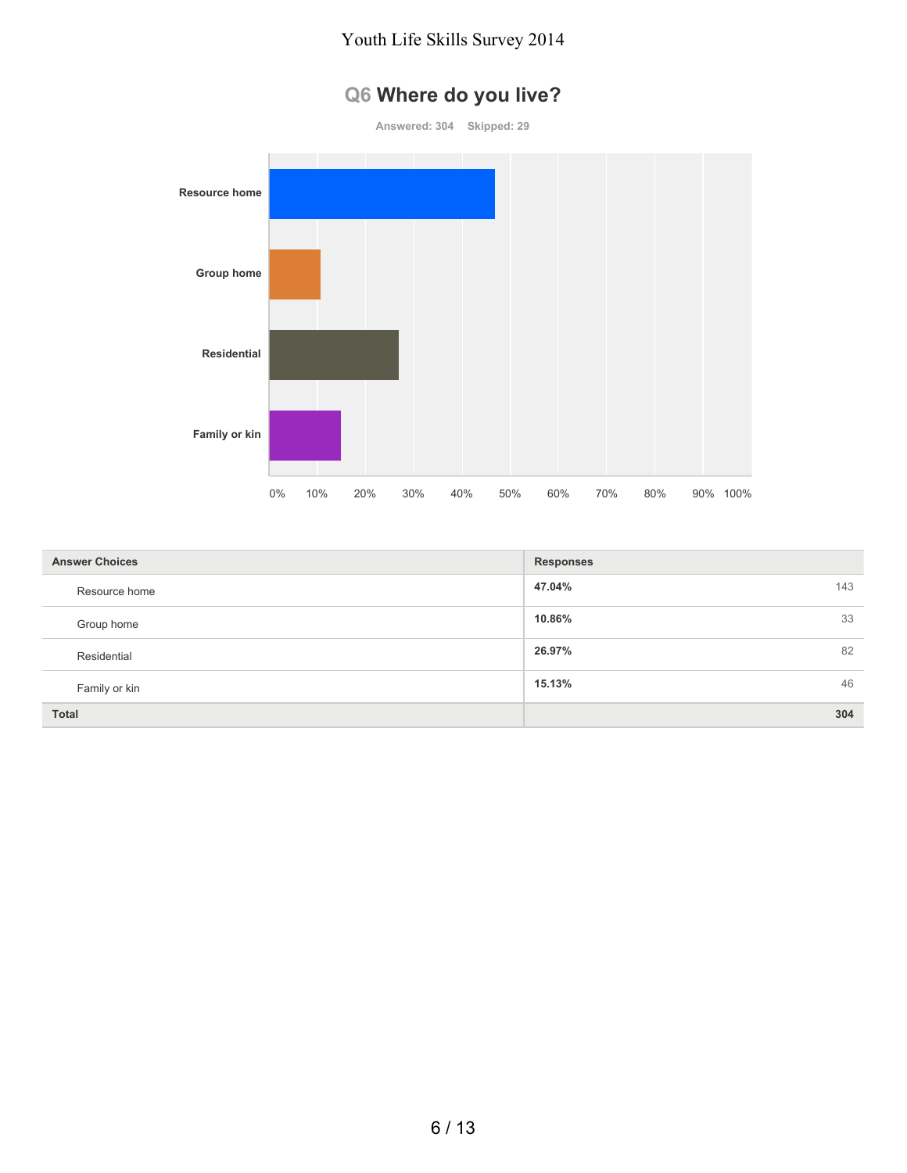## **Q6 Where do you live?**



| <b>Answer Choices</b> | <b>Responses</b> |
|-----------------------|------------------|
| Resource home         | 47.04%<br>143    |
| Group home            | 33<br>10.86%     |
| Residential           | 82<br>26.97%     |
| Family or kin         | 46<br>15.13%     |
| <b>Total</b>          | 304              |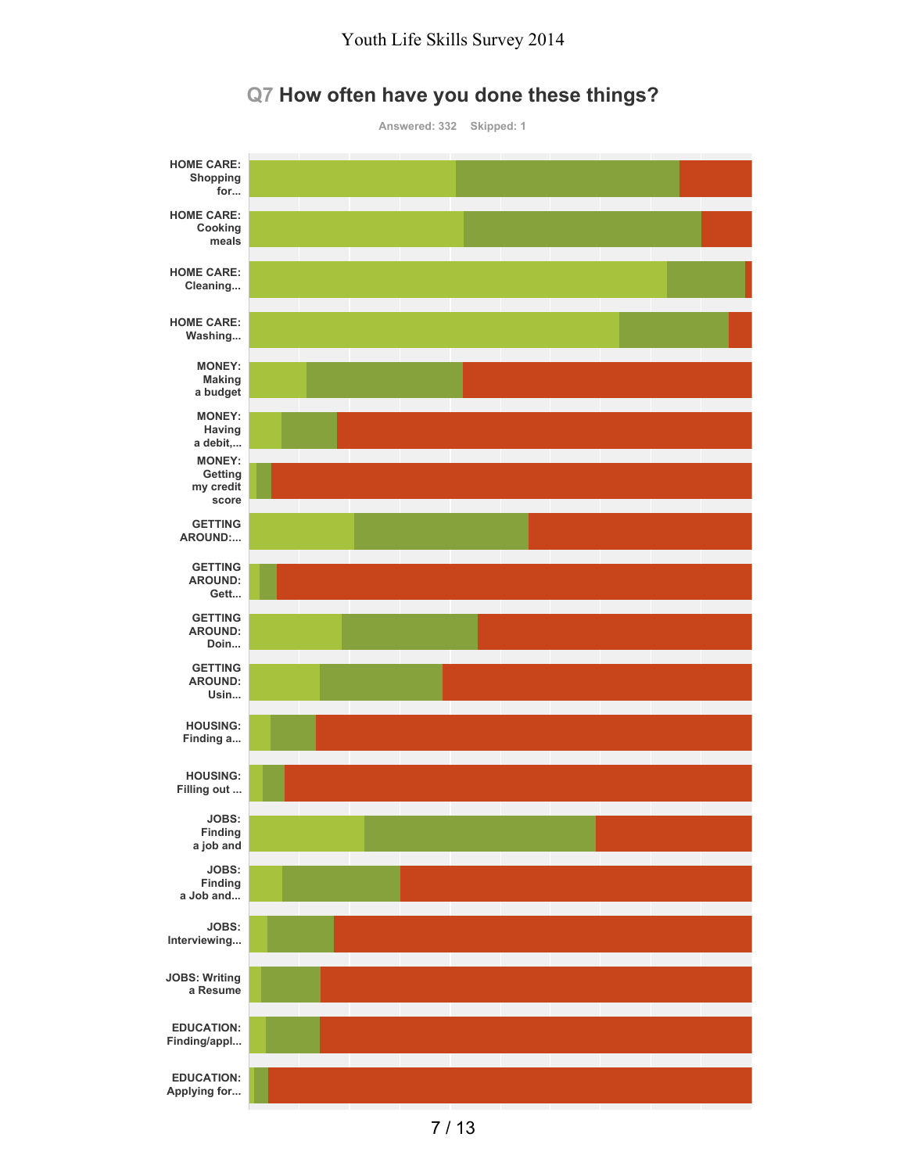

#### **Q7 How often have you done these things?**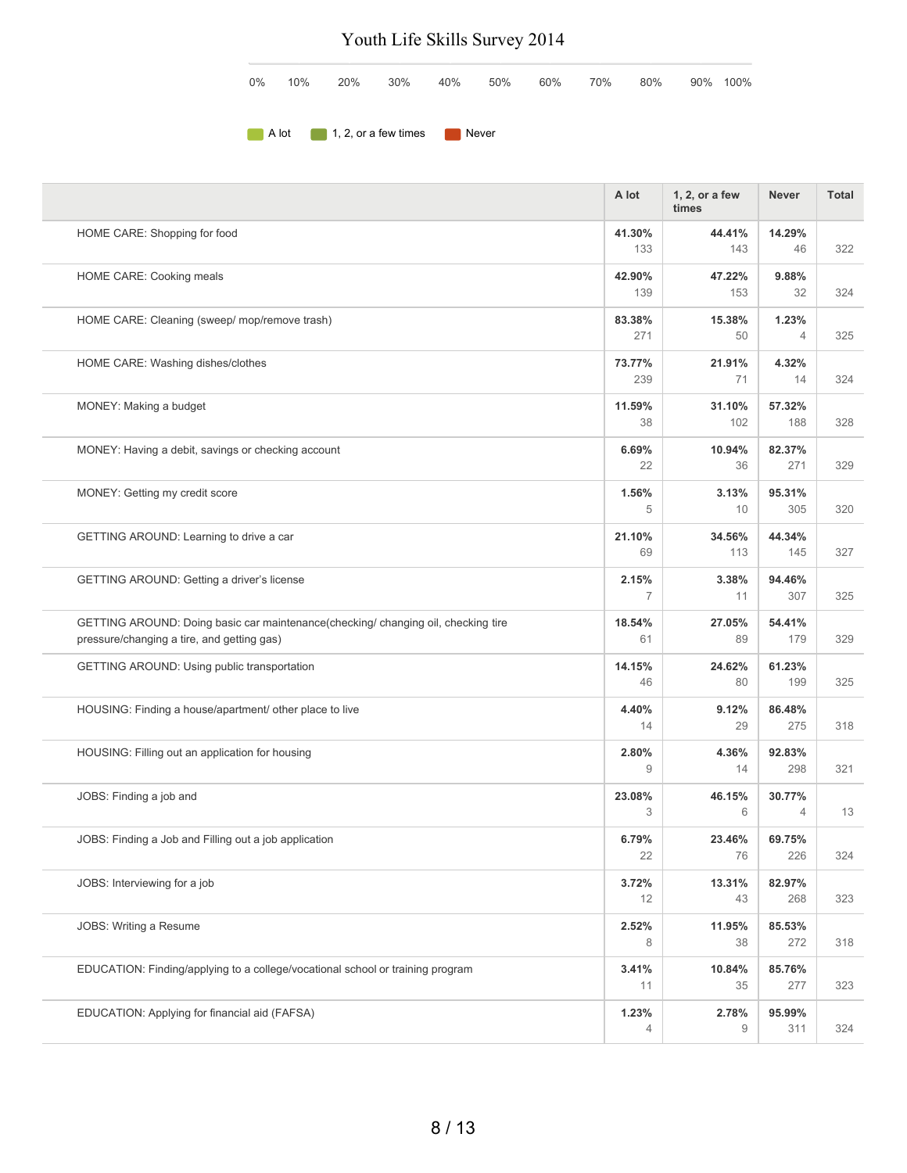| $0\%$ | 10% |                                  |  | 20% 30% 40% 50% 60% 70% |  | 80% | 90% 100% |
|-------|-----|----------------------------------|--|-------------------------|--|-----|----------|
|       |     |                                  |  |                         |  |     |          |
|       |     | A lot 1, 2, or a few times Never |  |                         |  |     |          |

|                                                                                                                                | A lot                   | 1, 2, or a few<br>times | <b>Never</b>             | <b>Total</b> |
|--------------------------------------------------------------------------------------------------------------------------------|-------------------------|-------------------------|--------------------------|--------------|
| HOME CARE: Shopping for food                                                                                                   | 41.30%<br>133           | 44.41%<br>143           | 14.29%<br>46             | 322          |
| HOME CARE: Cooking meals                                                                                                       | 42.90%<br>139           | 47.22%<br>153           | 9.88%<br>32              | 324          |
| HOME CARE: Cleaning (sweep/ mop/remove trash)                                                                                  | 83.38%<br>271           | 15.38%<br>50            | 1.23%<br>$\overline{4}$  | 325          |
| HOME CARE: Washing dishes/clothes                                                                                              | 73.77%<br>239           | 21.91%<br>71            | 4.32%<br>14              | 324          |
| MONEY: Making a budget                                                                                                         | 11.59%<br>38            | 31.10%<br>102           | 57.32%<br>188            | 328          |
| MONEY: Having a debit, savings or checking account                                                                             | 6.69%<br>22             | 10.94%<br>36            | 82.37%<br>271            | 329          |
| MONEY: Getting my credit score                                                                                                 | 1.56%<br>5              | 3.13%<br>10             | 95.31%<br>305            | 320          |
| GETTING AROUND: Learning to drive a car                                                                                        | 21.10%<br>69            | 34.56%<br>113           | 44.34%<br>145            | 327          |
| GETTING AROUND: Getting a driver's license                                                                                     | 2.15%<br>$\overline{7}$ | 3.38%<br>11             | 94.46%<br>307            | 325          |
| GETTING AROUND: Doing basic car maintenance(checking/changing oil, checking tire<br>pressure/changing a tire, and getting gas) | 18.54%<br>61            | 27.05%<br>89            | 54.41%<br>179            | 329          |
| GETTING AROUND: Using public transportation                                                                                    | 14.15%<br>46            | 24.62%<br>80            | 61.23%<br>199            | 325          |
| HOUSING: Finding a house/apartment/ other place to live                                                                        | 4.40%<br>14             | 9.12%<br>29             | 86.48%<br>275            | 318          |
| HOUSING: Filling out an application for housing                                                                                | 2.80%<br>9              | 4.36%<br>14             | 92.83%<br>298            | 321          |
| JOBS: Finding a job and                                                                                                        | 23.08%<br>3             | 46.15%<br>6             | 30.77%<br>$\overline{4}$ | 13           |
| JOBS: Finding a Job and Filling out a job application                                                                          | 6.79%<br>22             | 23.46%<br>76            | 69.75%<br>226            | 324          |
| JOBS: Interviewing for a job                                                                                                   | 3.72%<br>12             | 13.31%<br>43            | 82.97%<br>268            | 323          |
| JOBS: Writing a Resume                                                                                                         | 2.52%<br>8              | 11.95%<br>38            | 85.53%<br>272            | 318          |
| EDUCATION: Finding/applying to a college/vocational school or training program                                                 | 3.41%<br>11             | 10.84%<br>35            | 85.76%<br>277            | 323          |
| EDUCATION: Applying for financial aid (FAFSA)                                                                                  | 1.23%<br>4              | 2.78%<br>9              | 95.99%<br>311            | 324          |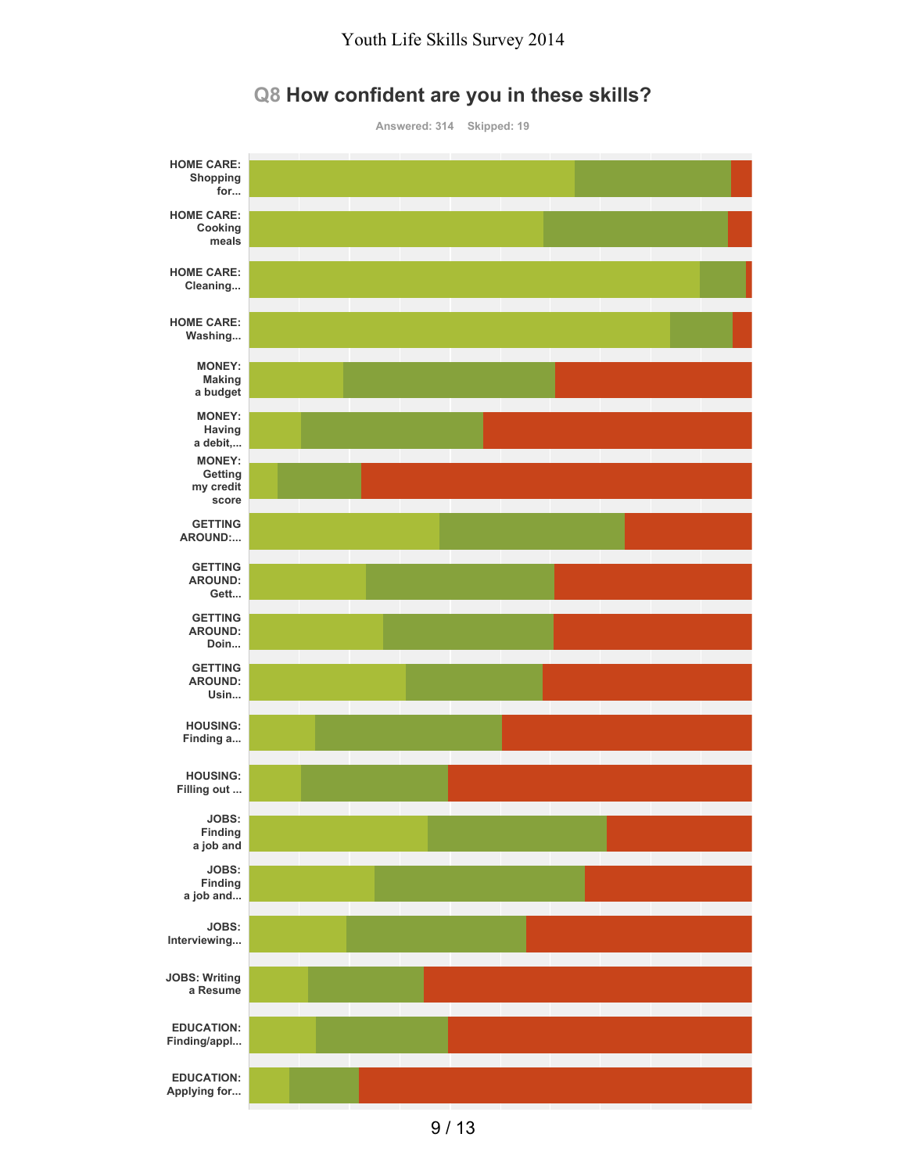

#### **Q8 How confident are you in these skills?**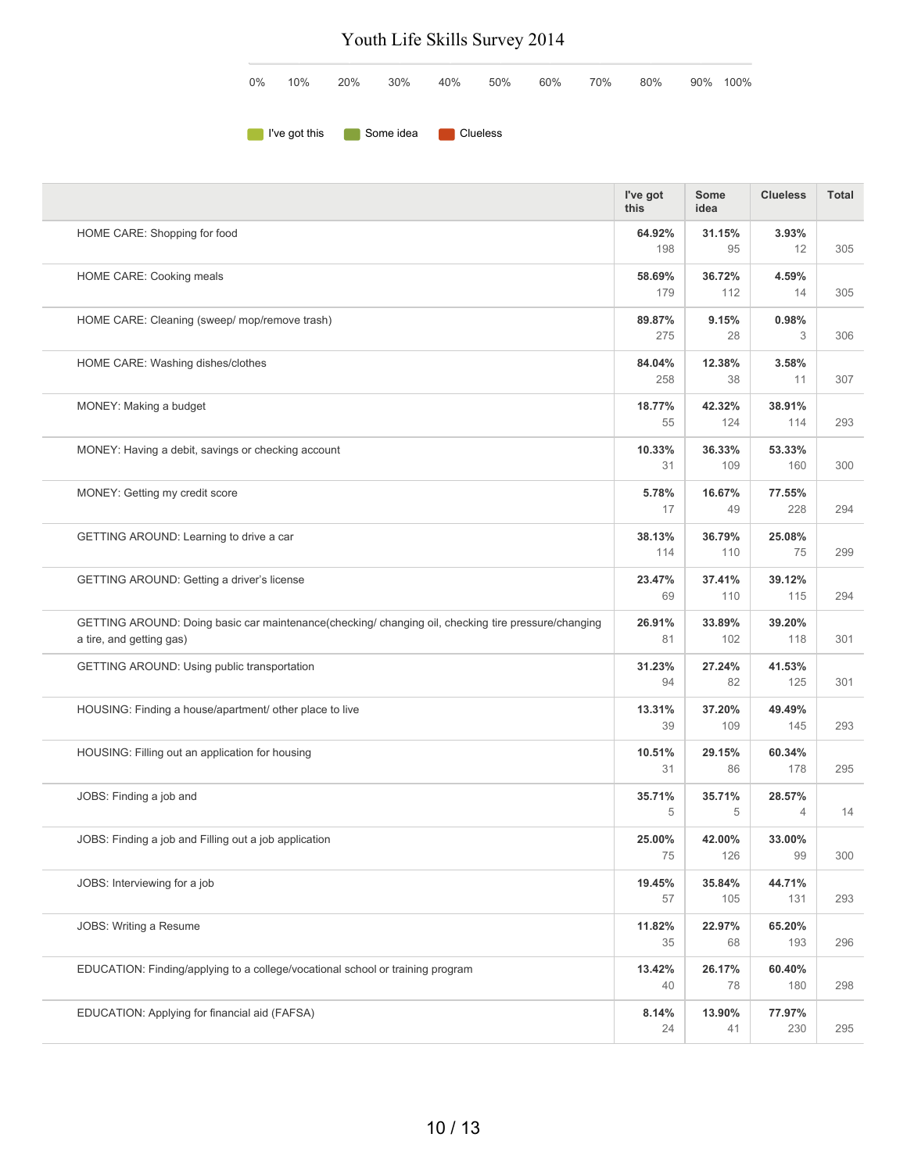|  |  |  |  | $0\%$ 10% 20% 30% 40% 50% 60% 70% 80% 90%100% |  |
|--|--|--|--|-----------------------------------------------|--|
|  |  |  |  |                                               |  |

**I've got this** Some idea Clueless

|                                                                                                                                | I've got<br>this | <b>Some</b><br>idea | <b>Clueless</b>          | <b>Total</b> |
|--------------------------------------------------------------------------------------------------------------------------------|------------------|---------------------|--------------------------|--------------|
| HOME CARE: Shopping for food                                                                                                   | 64.92%<br>198    | 31.15%<br>95        | 3.93%<br>12              | 305          |
| HOME CARE: Cooking meals                                                                                                       | 58.69%<br>179    | 36.72%<br>112       | 4.59%<br>14              | 305          |
| HOME CARE: Cleaning (sweep/ mop/remove trash)                                                                                  | 89.87%<br>275    | 9.15%<br>28         | 0.98%<br>3               | 306          |
| HOME CARE: Washing dishes/clothes                                                                                              | 84.04%<br>258    | 12.38%<br>38        | 3.58%<br>11              | 307          |
| MONEY: Making a budget                                                                                                         | 18.77%<br>55     | 42.32%<br>124       | 38.91%<br>114            | 293          |
| MONEY: Having a debit, savings or checking account                                                                             | 10.33%<br>31     | 36.33%<br>109       | 53.33%<br>160            | 300          |
| MONEY: Getting my credit score                                                                                                 | 5.78%<br>17      | 16.67%<br>49        | 77.55%<br>228            | 294          |
| GETTING AROUND: Learning to drive a car                                                                                        | 38.13%<br>114    | 36.79%<br>110       | 25.08%<br>75             | 299          |
| GETTING AROUND: Getting a driver's license                                                                                     | 23.47%<br>69     | 37.41%<br>110       | 39.12%<br>115            | 294          |
| GETTING AROUND: Doing basic car maintenance(checking/changing oil, checking tire pressure/changing<br>a tire, and getting gas) | 26.91%<br>81     | 33.89%<br>102       | 39.20%<br>118            | 301          |
| GETTING AROUND: Using public transportation                                                                                    | 31.23%<br>94     | 27.24%<br>82        | 41.53%<br>125            | 301          |
| HOUSING: Finding a house/apartment/ other place to live                                                                        | 13.31%<br>39     | 37.20%<br>109       | 49.49%<br>145            | 293          |
| HOUSING: Filling out an application for housing                                                                                | 10.51%<br>31     | 29.15%<br>86        | 60.34%<br>178            | 295          |
| JOBS: Finding a job and                                                                                                        | 35.71%<br>5      | 35.71%<br>5         | 28.57%<br>$\overline{4}$ | 14           |
| JOBS: Finding a job and Filling out a job application                                                                          | 25.00%<br>75     | 42.00%<br>126       | 33.00%<br>99             | 300          |
| JOBS: Interviewing for a job                                                                                                   | 19.45%<br>57     | 35.84%<br>105       | 44.71%<br>131            | 293          |
| JOBS: Writing a Resume                                                                                                         | 11.82%<br>35     | 22.97%<br>68        | 65.20%<br>193            | 296          |
| EDUCATION: Finding/applying to a college/vocational school or training program                                                 | 13.42%<br>40     | 26.17%<br>78        | 60.40%<br>180            | 298          |
| EDUCATION: Applying for financial aid (FAFSA)                                                                                  | 8.14%<br>24      | 13.90%<br>41        | 77.97%<br>230            | 295          |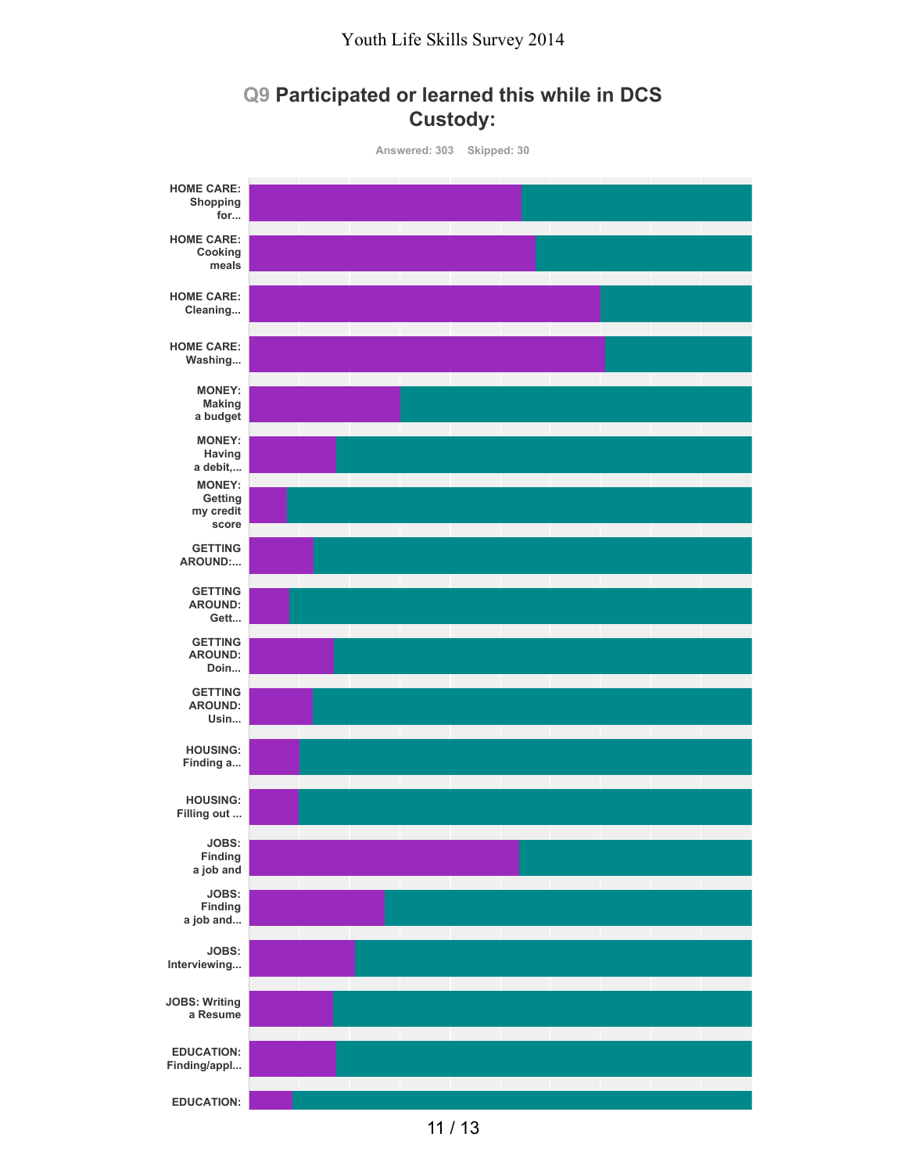### **Q9 Participated or learned this while in DCS Custody:**



11 / 13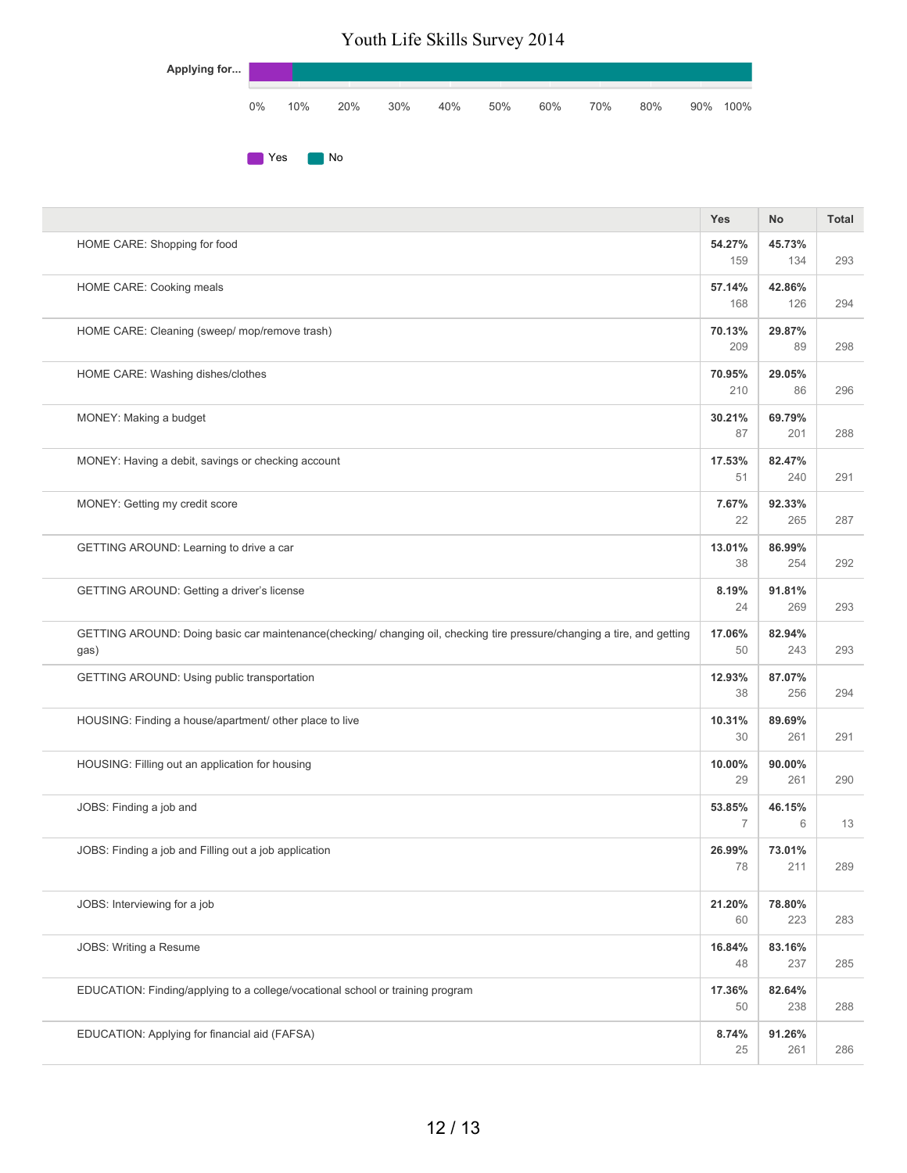| Applying for |       |     |     |     |     |     |     |     |     |     |      |
|--------------|-------|-----|-----|-----|-----|-----|-----|-----|-----|-----|------|
|              | $0\%$ | 10% | 20% | 30% | 40% | 50% | 60% | 70% | 80% | 90% | 100% |
|              |       | Yes | No  |     |     |     |     |     |     |     |      |

|                                                                                                                                 | <b>Yes</b>    | No            | Total |
|---------------------------------------------------------------------------------------------------------------------------------|---------------|---------------|-------|
| HOME CARE: Shopping for food                                                                                                    | 54.27%<br>159 | 45.73%<br>134 | 293   |
| HOME CARE: Cooking meals                                                                                                        | 57.14%<br>168 | 42.86%<br>126 | 294   |
| HOME CARE: Cleaning (sweep/ mop/remove trash)                                                                                   | 70.13%<br>209 | 29.87%<br>89  | 298   |
| HOME CARE: Washing dishes/clothes                                                                                               | 70.95%<br>210 | 29.05%<br>86  | 296   |
| MONEY: Making a budget                                                                                                          | 30.21%<br>87  | 69.79%<br>201 | 288   |
| MONEY: Having a debit, savings or checking account                                                                              | 17.53%<br>51  | 82.47%<br>240 | 291   |
| MONEY: Getting my credit score                                                                                                  | 7.67%<br>22   | 92.33%<br>265 | 287   |
| GETTING AROUND: Learning to drive a car                                                                                         | 13.01%<br>38  | 86.99%<br>254 | 292   |
| GETTING AROUND: Getting a driver's license                                                                                      | 8.19%<br>24   | 91.81%<br>269 | 293   |
| GETTING AROUND: Doing basic car maintenance(checking/ changing oil, checking tire pressure/changing a tire, and getting<br>gas) | 17.06%<br>50  | 82.94%<br>243 | 293   |
| GETTING AROUND: Using public transportation                                                                                     | 12.93%<br>38  | 87.07%<br>256 | 294   |
| HOUSING: Finding a house/apartment/ other place to live                                                                         | 10.31%<br>30  | 89.69%<br>261 | 291   |
| HOUSING: Filling out an application for housing                                                                                 | 10.00%<br>29  | 90.00%<br>261 | 290   |
| JOBS: Finding a job and                                                                                                         | 53.85%<br>7   | 46.15%<br>6   | 13    |
| JOBS: Finding a job and Filling out a job application                                                                           | 26.99%<br>78  | 73.01%<br>211 | 289   |
| JOBS: Interviewing for a job                                                                                                    | 21.20%<br>60  | 78.80%<br>223 | 283   |
| JOBS: Writing a Resume                                                                                                          | 16.84%<br>48  | 83.16%<br>237 | 285   |
| EDUCATION: Finding/applying to a college/vocational school or training program                                                  | 17.36%<br>50  | 82.64%<br>238 | 288   |
| EDUCATION: Applying for financial aid (FAFSA)                                                                                   | 8.74%<br>25   | 91.26%<br>261 | 286   |